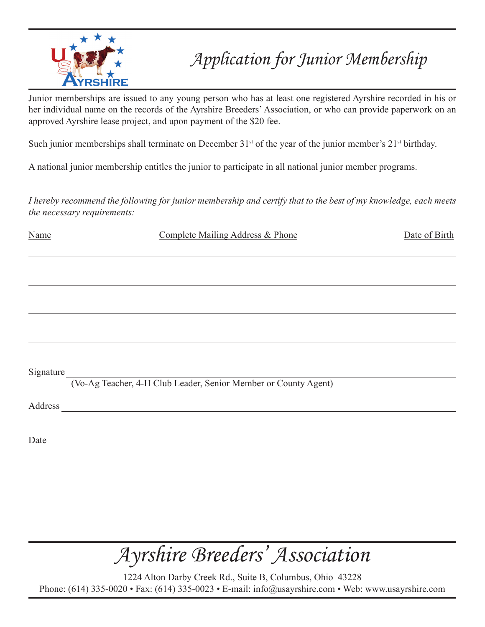

### *Application for Junior Membership*

Junior memberships are issued to any young person who has at least one registered Ayrshire recorded in his or her individual name on the records of the Ayrshire Breeders' Association, or who can provide paperwork on an approved Ayrshire lease project, and upon payment of the \$20 fee.

Such junior memberships shall terminate on December  $31<sup>st</sup>$  of the year of the junior member's  $21<sup>st</sup>$  birthday.

A national junior membership entitles the junior to participate in all national junior member programs.

*I hereby recommend the following for junior membership and certify that to the best of my knowledge, each meets the necessary requirements:*

Name Complete Mailing Address & Phone Date of Birth

Signature

(Vo-Ag Teacher, 4-H Club Leader, Senior Member or County Agent)

Address and the contract of the contract of the contract of the contract of the contract of the contract of the contract of the contract of the contract of the contract of the contract of the contract of the contract of th

Date and the set of the set of the set of the set of the set of the set of the set of the set of the set of the set of the set of the set of the set of the set of the set of the set of the set of the set of the set of the

## *Ayrshire Breeders' Association*

1224 Alton Darby Creek Rd., Suite B, Columbus, Ohio 43228 Phone: (614) 335-0020 • Fax: (614) 335-0023 • E-mail: info@usayrshire.com • Web: www.usayrshire.com